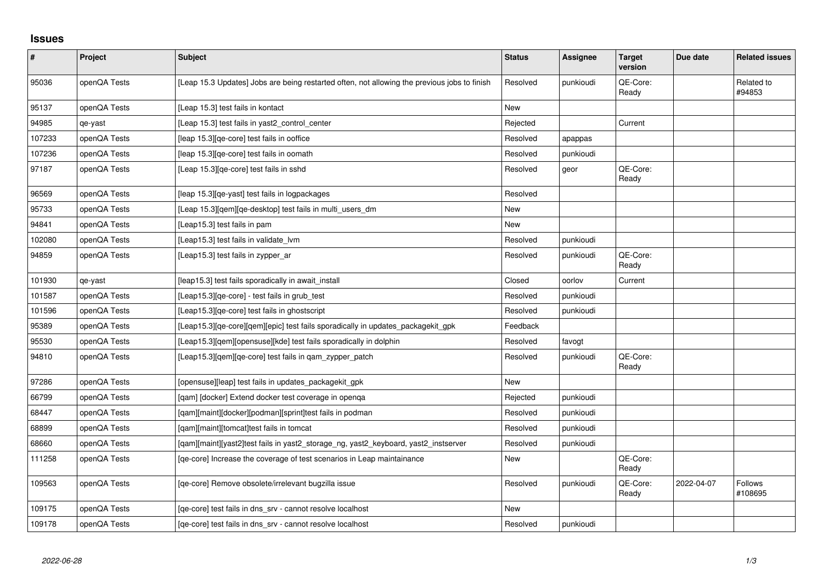## **Issues**

| $\pmb{\#}$ | Project      | Subject                                                                                      | <b>Status</b> | Assignee  | <b>Target</b><br>version | Due date   | <b>Related issues</b>     |
|------------|--------------|----------------------------------------------------------------------------------------------|---------------|-----------|--------------------------|------------|---------------------------|
| 95036      | openQA Tests | [Leap 15.3 Updates] Jobs are being restarted often, not allowing the previous jobs to finish | Resolved      | punkioudi | QE-Core:<br>Ready        |            | Related to<br>#94853      |
| 95137      | openQA Tests | [Leap 15.3] test fails in kontact                                                            | <b>New</b>    |           |                          |            |                           |
| 94985      | qe-yast      | [Leap 15.3] test fails in yast2 control center                                               | Rejected      |           | Current                  |            |                           |
| 107233     | openQA Tests | [leap 15.3] [qe-core] test fails in ooffice                                                  | Resolved      | apappas   |                          |            |                           |
| 107236     | openQA Tests | [leap 15.3] [qe-core] test fails in oomath                                                   | Resolved      | punkioudi |                          |            |                           |
| 97187      | openQA Tests | [Leap 15.3][qe-core] test fails in sshd                                                      | Resolved      | geor      | QE-Core:<br>Ready        |            |                           |
| 96569      | openQA Tests | [leap 15.3] [qe-yast] test fails in logpackages                                              | Resolved      |           |                          |            |                           |
| 95733      | openQA Tests | [Leap 15.3][qem][qe-desktop] test fails in multi_users_dm                                    | <b>New</b>    |           |                          |            |                           |
| 94841      | openQA Tests | [Leap15.3] test fails in pam                                                                 | <b>New</b>    |           |                          |            |                           |
| 102080     | openQA Tests | [Leap15.3] test fails in validate lym                                                        | Resolved      | punkioudi |                          |            |                           |
| 94859      | openQA Tests | [Leap15.3] test fails in zypper_ar                                                           | Resolved      | punkioudi | QE-Core:<br>Ready        |            |                           |
| 101930     | qe-yast      | [leap15.3] test fails sporadically in await_install                                          | Closed        | oorlov    | Current                  |            |                           |
| 101587     | openQA Tests | [Leap15.3][qe-core] - test fails in grub_test                                                | Resolved      | punkioudi |                          |            |                           |
| 101596     | openQA Tests | [Leap15.3][qe-core] test fails in ghostscript                                                | Resolved      | punkioudi |                          |            |                           |
| 95389      | openQA Tests | [Leap15.3][qe-core][qem][epic] test fails sporadically in updates_packagekit_gpk             | Feedback      |           |                          |            |                           |
| 95530      | openQA Tests | [Leap15.3][qem][opensuse][kde] test fails sporadically in dolphin                            | Resolved      | favogt    |                          |            |                           |
| 94810      | openQA Tests | [Leap15.3][qem][qe-core] test fails in qam_zypper_patch                                      | Resolved      | punkioudi | QE-Core:<br>Ready        |            |                           |
| 97286      | openQA Tests | [opensuse][leap] test fails in updates_packagekit_gpk                                        | New           |           |                          |            |                           |
| 66799      | openQA Tests | [qam] [docker] Extend docker test coverage in openqa                                         | Rejected      | punkioudi |                          |            |                           |
| 68447      | openQA Tests | [qam][maint][docker][podman][sprint]test fails in podman                                     | Resolved      | punkioudi |                          |            |                           |
| 68899      | openQA Tests | [gam][maint][tomcat]test fails in tomcat                                                     | Resolved      | punkioudi |                          |            |                           |
| 68660      | openQA Tests | [qam][maint][yast2]test fails in yast2_storage_ng, yast2_keyboard, yast2_instserver          | Resolved      | punkioudi |                          |            |                           |
| 111258     | openQA Tests | [ge-core] Increase the coverage of test scenarios in Leap maintainance                       | New           |           | QE-Core:<br>Ready        |            |                           |
| 109563     | openQA Tests | [qe-core] Remove obsolete/irrelevant bugzilla issue                                          | Resolved      | punkioudi | QE-Core:<br>Ready        | 2022-04-07 | <b>Follows</b><br>#108695 |
| 109175     | openQA Tests | [qe-core] test fails in dns_srv - cannot resolve localhost                                   | New           |           |                          |            |                           |
| 109178     | openQA Tests | [ge-core] test fails in dns srv - cannot resolve localhost                                   | Resolved      | punkioudi |                          |            |                           |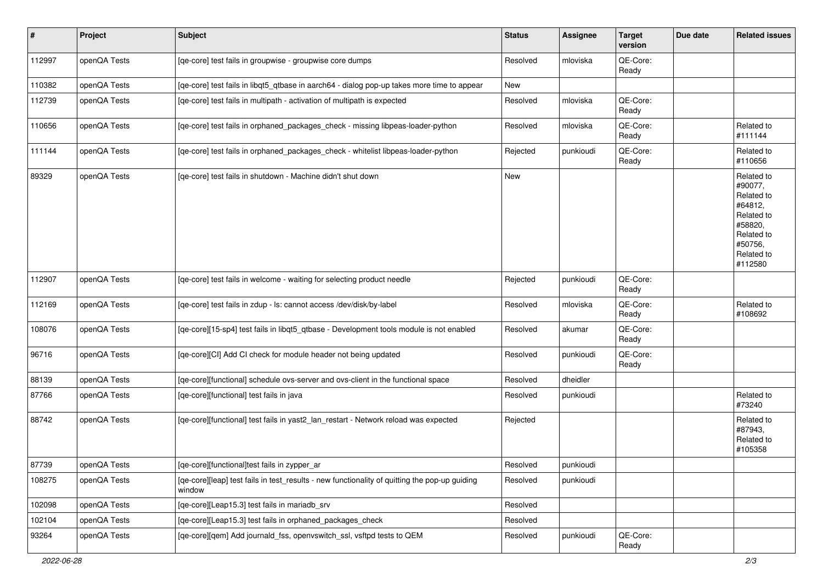| #      | Project      | Subject                                                                                                 | <b>Status</b> | <b>Assignee</b> | <b>Target</b><br>version | Due date | <b>Related issues</b>                                                                                                     |
|--------|--------------|---------------------------------------------------------------------------------------------------------|---------------|-----------------|--------------------------|----------|---------------------------------------------------------------------------------------------------------------------------|
| 112997 | openQA Tests | [qe-core] test fails in groupwise - groupwise core dumps                                                | Resolved      | mloviska        | QE-Core:<br>Ready        |          |                                                                                                                           |
| 110382 | openQA Tests | [qe-core] test fails in libqt5_qtbase in aarch64 - dialog pop-up takes more time to appear              | New           |                 |                          |          |                                                                                                                           |
| 112739 | openQA Tests | [qe-core] test fails in multipath - activation of multipath is expected                                 | Resolved      | mloviska        | QE-Core:<br>Ready        |          |                                                                                                                           |
| 110656 | openQA Tests | [qe-core] test fails in orphaned_packages_check - missing libpeas-loader-python                         | Resolved      | mloviska        | QE-Core:<br>Ready        |          | Related to<br>#111144                                                                                                     |
| 111144 | openQA Tests | [qe-core] test fails in orphaned_packages_check - whitelist libpeas-loader-python                       | Rejected      | punkioudi       | QE-Core:<br>Ready        |          | Related to<br>#110656                                                                                                     |
| 89329  | openQA Tests | [qe-core] test fails in shutdown - Machine didn't shut down                                             | New           |                 |                          |          | Related to<br>#90077,<br>Related to<br>#64812,<br>Related to<br>#58820,<br>Related to<br>#50756,<br>Related to<br>#112580 |
| 112907 | openQA Tests | [qe-core] test fails in welcome - waiting for selecting product needle                                  | Rejected      | punkioudi       | QE-Core:<br>Ready        |          |                                                                                                                           |
| 112169 | openQA Tests | [qe-core] test fails in zdup - ls: cannot access /dev/disk/by-label                                     | Resolved      | mloviska        | QE-Core:<br>Ready        |          | Related to<br>#108692                                                                                                     |
| 108076 | openQA Tests | [qe-core][15-sp4] test fails in libqt5_qtbase - Development tools module is not enabled                 | Resolved      | akumar          | QE-Core:<br>Ready        |          |                                                                                                                           |
| 96716  | openQA Tests | [qe-core][CI] Add CI check for module header not being updated                                          | Resolved      | punkioudi       | QE-Core:<br>Ready        |          |                                                                                                                           |
| 88139  | openQA Tests | [qe-core][functional] schedule ovs-server and ovs-client in the functional space                        | Resolved      | dheidler        |                          |          |                                                                                                                           |
| 87766  | openQA Tests | [qe-core][functional] test fails in java                                                                | Resolved      | punkioudi       |                          |          | Related to<br>#73240                                                                                                      |
| 88742  | openQA Tests | [qe-core][functional] test fails in yast2_lan_restart - Network reload was expected                     | Rejected      |                 |                          |          | Related to<br>#87943,<br>Related to<br>#105358                                                                            |
| 87739  | openQA Tests | [qe-core][functional]test fails in zypper_ar                                                            | Resolved      | punkioudi       |                          |          |                                                                                                                           |
| 108275 | openQA Tests | [qe-core][leap] test fails in test_results - new functionality of quitting the pop-up guiding<br>window | Resolved      | punkioudi       |                          |          |                                                                                                                           |
| 102098 | openQA Tests | [qe-core][Leap15.3] test fails in mariadb_srv                                                           | Resolved      |                 |                          |          |                                                                                                                           |
| 102104 | openQA Tests | [qe-core][Leap15.3] test fails in orphaned_packages_check                                               | Resolved      |                 |                          |          |                                                                                                                           |
| 93264  | openQA Tests | [qe-core][qem] Add journald_fss, openvswitch_ssl, vsftpd tests to QEM                                   | Resolved      | punkioudi       | QE-Core:<br>Ready        |          |                                                                                                                           |